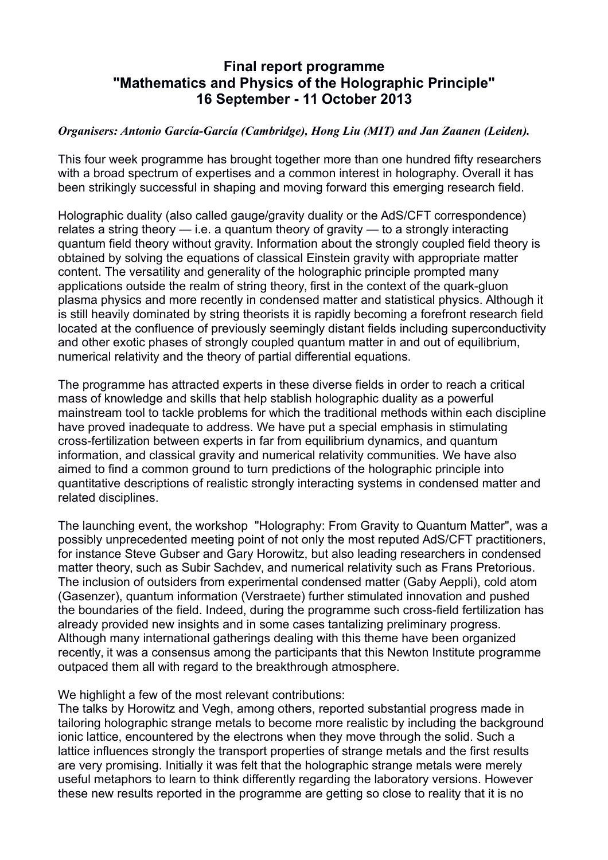## **Final report programme "Mathematics and Physics of the Holographic Principle" 16 September - 11 October 2013**

## *Organisers: Antonio García-García (Cambridge), Hong Liu (MIT) and Jan Zaanen (Leiden).*

This four week programme has brought together more than one hundred fifty researchers with a broad spectrum of expertises and a common interest in holography. Overall it has been strikingly successful in shaping and moving forward this emerging research field.

Holographic duality (also called gauge/gravity duality or the AdS/CFT correspondence) relates a string theory — i.e. a quantum theory of gravity — to a strongly interacting quantum field theory without gravity. Information about the strongly coupled field theory is obtained by solving the equations of classical Einstein gravity with appropriate matter content. The versatility and generality of the holographic principle prompted many applications outside the realm of string theory, first in the context of the quark-gluon plasma physics and more recently in condensed matter and statistical physics. Although it is still heavily dominated by string theorists it is rapidly becoming a forefront research field located at the confluence of previously seemingly distant fields including superconductivity and other exotic phases of strongly coupled quantum matter in and out of equilibrium, numerical relativity and the theory of partial differential equations.

The programme has attracted experts in these diverse fields in order to reach a critical mass of knowledge and skills that help stablish holographic duality as a powerful mainstream tool to tackle problems for which the traditional methods within each discipline have proved inadequate to address. We have put a special emphasis in stimulating cross-fertilization between experts in far from equilibrium dynamics, and quantum information, and classical gravity and numerical relativity communities. We have also aimed to find a common ground to turn predictions of the holographic principle into quantitative descriptions of realistic strongly interacting systems in condensed matter and related disciplines.

The launching event, the workshop "Holography: From Gravity to Quantum Matter", was a possibly unprecedented meeting point of not only the most reputed AdS/CFT practitioners, for instance Steve Gubser and Gary Horowitz, but also leading researchers in condensed matter theory, such as Subir Sachdev, and numerical relativity such as Frans Pretorious. The inclusion of outsiders from experimental condensed matter (Gaby Aeppli), cold atom (Gasenzer), quantum information (Verstraete) further stimulated innovation and pushed the boundaries of the field. Indeed, during the programme such cross-field fertilization has already provided new insights and in some cases tantalizing preliminary progress. Although many international gatherings dealing with this theme have been organized recently, it was a consensus among the participants that this Newton Institute programme outpaced them all with regard to the breakthrough atmosphere.

We highlight a few of the most relevant contributions:

The talks by Horowitz and Vegh, among others, reported substantial progress made in tailoring holographic strange metals to become more realistic by including the background ionic lattice, encountered by the electrons when they move through the solid. Such a lattice influences strongly the transport properties of strange metals and the first results are very promising. Initially it was felt that the holographic strange metals were merely useful metaphors to learn to think differently regarding the laboratory versions. However these new results reported in the programme are getting so close to reality that it is no